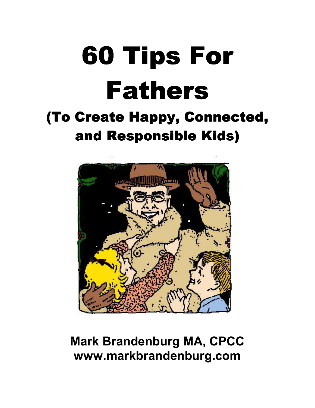# 60 Tips For **Fathers**

## (To Create Happy, Connected, and Responsible Kids)



### **Mark Brandenburg MA, CPCC www.markbrandenburg.com**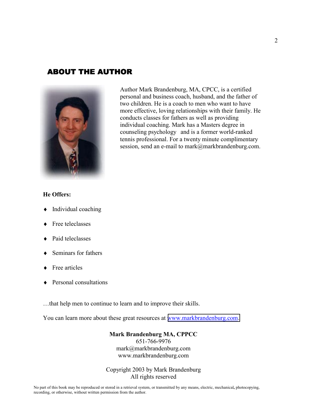#### **ABOUT THE AUTHOR**



Author Mark Brandenburg, MA, CPCC, is a certified personal and business coach, husband, and the father of two children. He is a coach to men who want to have more effective, loving relationships with their family. He conducts classes for fathers as well as providing individual coaching. Mark has a Masters degree in counseling psychology and is a former world-ranked tennis professional. For a twenty minute complimentary session, send an e-mail to mark@markbrandenburg.com.

#### **He Offers:**

- Individual coaching
- Free teleclasses
- Paid teleclasses
- Seminars for fathers
- Free articles
- **Personal consultations**

…that help men to continue to learn and to improve their skills.

You can learn more about these great resources at www.markbrandenburg.com.

#### **Mark Brandenburg MA, CPPCC**

651-766-9976 mark@markbrandenburg.com www.markbrandenburg.com

#### Copyright 2003 by Mark Brandenburg All rights reserved

No part of this book may be reproduced or stored in a retrieval system, or transmitted by any means, electric, mechanical**,** photocopying, recording, or otherwise, without written permission from the author.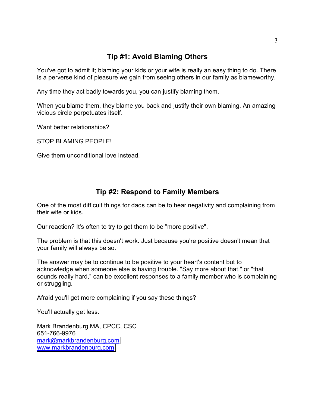#### **Tip #1: Avoid Blaming Others**

You've got to admit it; blaming your kids or your wife is really an easy thing to do. There is a perverse kind of pleasure we gain from seeing others in our family as blameworthy.

Any time they act badly towards you, you can justify blaming them.

When you blame them, they blame you back and justify their own blaming. An amazing vicious circle perpetuates itself.

Want better relationships?

STOP BLAMING PEOPLE!

Give them unconditional love instead.

#### **Tip #2: Respond to Family Members**

One of the most difficult things for dads can be to hear negativity and complaining from their wife or kids.

Our reaction? It's often to try to get them to be "more positive".

The problem is that this doesn't work. Just because you're positive doesn't mean that your family will always be so.

The answer may be to continue to be positive to your heart's content but to acknowledge when someone else is having trouble. "Say more about that," or "that sounds really hard," can be excellent responses to a family member who is complaining or struggling.

Afraid you'll get more complaining if you say these things?

You'll actually get less.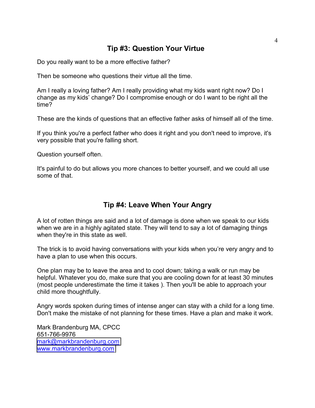#### **Tip #3: Question Your Virtue**

Do you really want to be a more effective father?

Then be someone who questions their virtue all the time.

Am I really a loving father? Am I really providing what my kids want right now? Do I change as my kids' change? Do I compromise enough or do I want to be right all the time?

These are the kinds of questions that an effective father asks of himself all of the time.

If you think you're a perfect father who does it right and you don't need to improve, it's very possible that you're falling short.

Question yourself often.

It's painful to do but allows you more chances to better yourself, and we could all use some of that.

#### **Tip #4: Leave When Your Angry**

A lot of rotten things are said and a lot of damage is done when we speak to our kids when we are in a highly agitated state. They will tend to say a lot of damaging things when they're in this state as well.

The trick is to avoid having conversations with your kids when you're very angry and to have a plan to use when this occurs.

One plan may be to leave the area and to cool down; taking a walk or run may be helpful. Whatever you do, make sure that you are cooling down for at least 30 minutes (most people underestimate the time it takes ). Then you'll be able to approach your child more thoughtfully.

Angry words spoken during times of intense anger can stay with a child for a long time. Don't make the mistake of not planning for these times. Have a plan and make it work.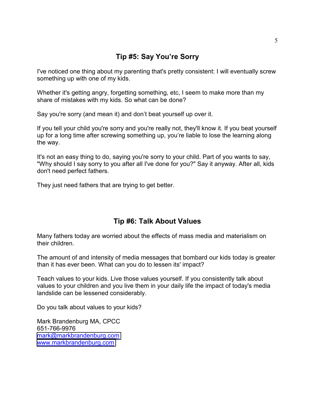#### **Tip #5: Say You're Sorry**

I've noticed one thing about my parenting that's pretty consistent: I will eventually screw something up with one of my kids.

Whether it's getting angry, forgetting something, etc, I seem to make more than my share of mistakes with my kids. So what can be done?

Say you're sorry (and mean it) and don't beat yourself up over it.

If you tell your child you're sorry and you're really not, they'll know it. If you beat yourself up for a long time after screwing something up, you're liable to lose the learning along the way.

It's not an easy thing to do, saying you're sorry to your child. Part of you wants to say, "Why should I say sorry to you after all I've done for you?" Say it anyway. After all, kids don't need perfect fathers.

They just need fathers that are trying to get better.

#### **Tip #6: Talk About Values**

Many fathers today are worried about the effects of mass media and materialism on their children.

The amount of and intensity of media messages that bombard our kids today is greater than it has ever been. What can you do to lessen its' impact?

Teach values to your kids. Live those values yourself. If you consistently talk about values to your children and you live them in your daily life the impact of today's media landslide can be lessened considerably.

Do you talk about values to your kids?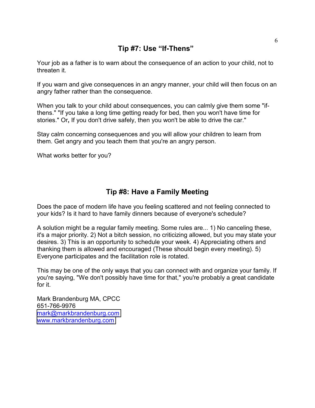#### **Tip #7: Use "If-Thens"**

Your job as a father is to warn about the consequence of an action to your child, not to threaten it.

If you warn and give consequences in an angry manner, your child will then focus on an angry father rather than the consequence.

When you talk to your child about consequences, you can calmly give them some "ifthens." "If you take a long time getting ready for bed, then you won't have time for stories." Or**,** If you don't drive safely, then you won't be able to drive the car."

Stay calm concerning consequences and you will allow your children to learn from them. Get angry and you teach them that you're an angry person.

What works better for you?

#### **Tip #8: Have a Family Meeting**

Does the pace of modern life have you feeling scattered and not feeling connected to your kids? Is it hard to have family dinners because of everyone's schedule?

A solution might be a regular family meeting. Some rules are... 1) No canceling these, it's a major priority. 2) Not a bitch session, no criticizing allowed, but you may state your desires. 3) This is an opportunity to schedule your week. 4) Appreciating others and thanking them is allowed and encouraged (These should begin every meeting). 5) Everyone participates and the facilitation role is rotated.

This may be one of the only ways that you can connect with and organize your family. If you're saying, "We don't possibly have time for that," you're probably a great candidate for it.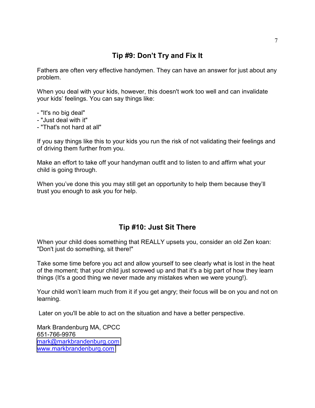#### **Tip #9: Don't Try and Fix It**

Fathers are often very effective handymen. They can have an answer for just about any problem.

When you deal with your kids, however, this doesn't work too well and can invalidate your kids' feelings. You can say things like:

- "It's no big deal"
- "Just deal with it"
- "That's not hard at all"

If you say things like this to your kids you run the risk of not validating their feelings and of driving them further from you.

Make an effort to take off your handyman outfit and to listen to and affirm what your child is going through.

When you've done this you may still get an opportunity to help them because they'll trust you enough to ask you for help.

#### **Tip #10: Just Sit There**

When your child does something that REALLY upsets you, consider an old Zen koan: "Don't just do something, sit there!"

Take some time before you act and allow yourself to see clearly what is lost in the heat of the moment; that your child just screwed up and that it's a big part of how they learn things (It's a good thing we never made any mistakes when we were young!).

Your child won't learn much from it if you get angry; their focus will be on you and not on learning.

Later on you'll be able to act on the situation and have a better perspective.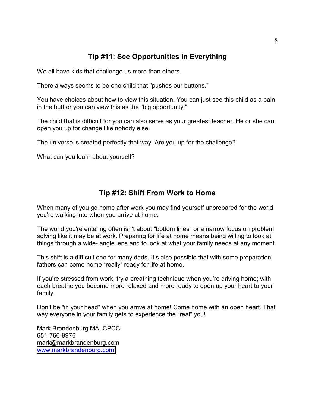#### **Tip #11: See Opportunities in Everything**

We all have kids that challenge us more than others.

There always seems to be one child that "pushes our buttons."

You have choices about how to view this situation. You can just see this child as a pain in the butt or you can view this as the "big opportunity."

The child that is difficult for you can also serve as your greatest teacher. He or she can open you up for change like nobody else.

The universe is created perfectly that way. Are you up for the challenge?

What can you learn about yourself?

#### **Tip #12: Shift From Work to Home**

When many of you go home after work you may find yourself unprepared for the world you're walking into when you arrive at home.

The world you're entering often isn't about "bottom lines" or a narrow focus on problem solving like it may be at work. Preparing for life at home means being willing to look at things through a wide- angle lens and to look at what your family needs at any moment.

This shift is a difficult one for many dads. It's also possible that with some preparation fathers can come home "really" ready for life at home.

If you're stressed from work, try a breathing technique when you're driving home; with each breathe you become more relaxed and more ready to open up your heart to your family.

Don't be "in your head" when you arrive at home! Come home with an open heart. That way everyone in your family gets to experience the "real" you!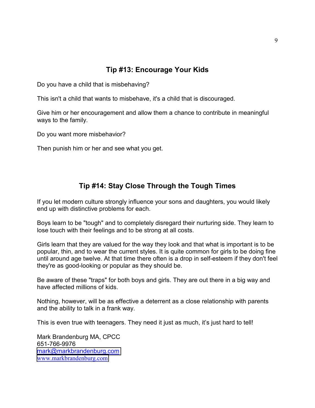#### **Tip #13: Encourage Your Kids**

Do you have a child that is misbehaving?

This isn't a child that wants to misbehave, it's a child that is discouraged.

Give him or her encouragement and allow them a chance to contribute in meaningful ways to the family.

Do you want more misbehavior?

Then punish him or her and see what you get.

#### **Tip #14: Stay Close Through the Tough Times**

If you let modern culture strongly influence your sons and daughters, you would likely end up with distinctive problems for each.

Boys learn to be "tough" and to completely disregard their nurturing side. They learn to lose touch with their feelings and to be strong at all costs.

Girls learn that they are valued for the way they look and that what is important is to be popular, thin, and to wear the current styles. It is quite common for girls to be doing fine until around age twelve. At that time there often is a drop in self-esteem if they don't feel they're as good-looking or popular as they should be.

Be aware of these "traps" for both boys and girls. They are out there in a big way and have affected millions of kids.

Nothing, however, will be as effective a deterrent as a close relationship with parents and the ability to talk in a frank way.

This is even true with teenagers. They need it just as much, it's just hard to tell!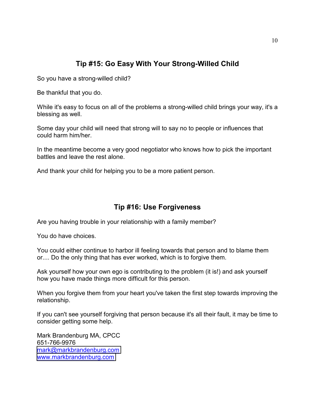#### **Tip #15: Go Easy With Your Strong-Willed Child**

So you have a strong-willed child?

Be thankful that you do.

While it's easy to focus on all of the problems a strong-willed child brings your way, it's a blessing as well.

Some day your child will need that strong will to say no to people or influences that could harm him/her.

In the meantime become a very good negotiator who knows how to pick the important battles and leave the rest alone.

And thank your child for helping you to be a more patient person.

#### **Tip #16: Use Forgiveness**

Are you having trouble in your relationship with a family member?

You do have choices.

You could either continue to harbor ill feeling towards that person and to blame them or.... Do the only thing that has ever worked, which is to forgive them.

Ask yourself how your own ego is contributing to the problem (it is!) and ask yourself how you have made things more difficult for this person.

When you forgive them from your heart you've taken the first step towards improving the relationship.

If you can't see yourself forgiving that person because it's all their fault, it may be time to consider getting some help.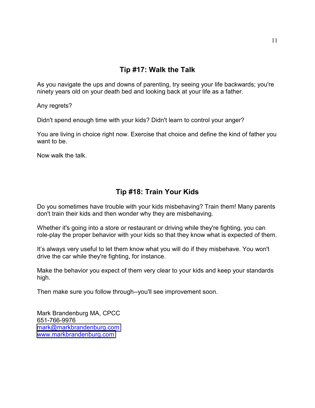As you navigate the ups and downs of parenting, try seeing your life backwards; you're ninety years old on your death bed and looking back at your life as a father.

Any regrets?

Didn't spend enough time with your kids? Didn't learn to control your anger?

You are living in choice right now. Exercise that choice and define the kind of father you want to be.

Now walk the talk.

#### **Tip #18: Train Your Kids**

Do you sometimes have trouble with your kids misbehaving? Train them! Many parents don't train their kids and then wonder why they are misbehaving.

Whether it's going into a store or restaurant or driving while they're fighting, you can role-play the proper behavior with your kids so that they know what is expected of them.

It's always very useful to let them know what you will do if they misbehave. You won't drive the car while they're fighting, for instance.

Make the behavior you expect of them very clear to your kids and keep your standards high.

Then make sure you follow through--you'll see improvement soon.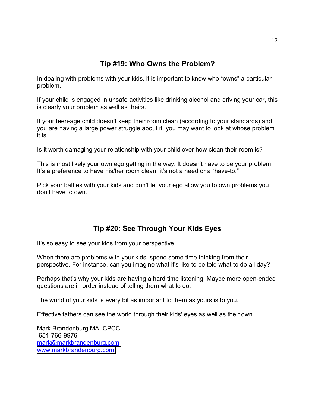#### **Tip #19: Who Owns the Problem?**

In dealing with problems with your kids, it is important to know who "owns" a particular problem.

If your child is engaged in unsafe activities like drinking alcohol and driving your car, this is clearly your problem as well as theirs.

If your teen-age child doesn't keep their room clean (according to your standards) and you are having a large power struggle about it, you may want to look at whose problem it is.

Is it worth damaging your relationship with your child over how clean their room is?

This is most likely your own ego getting in the way. It doesn't have to be your problem. It's a preference to have his/her room clean, it's not a need or a "have-to."

Pick your battles with your kids and don't let your ego allow you to own problems you don't have to own.

#### **Tip #20: See Through Your Kids Eyes**

It's so easy to see your kids from your perspective.

When there are problems with your kids, spend some time thinking from their perspective. For instance, can you imagine what it's like to be told what to do all day?

Perhaps that's why your kids are having a hard time listening. Maybe more open-ended questions are in order instead of telling them what to do.

The world of your kids is every bit as important to them as yours is to you.

Effective fathers can see the world through their kids' eyes as well as their own.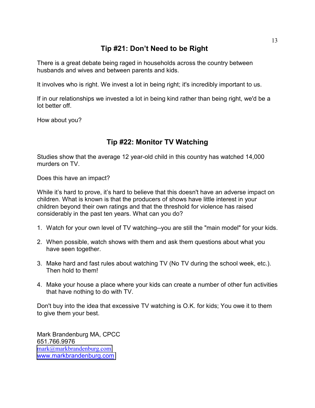#### **Tip #21: Don't Need to be Right**

There is a great debate being raged in households across the country between husbands and wives and between parents and kids.

It involves who is right. We invest a lot in being right; it's incredibly important to us.

If in our relationships we invested a lot in being kind rather than being right, we'd be a lot better off.

How about you?

#### **Tip #22: Monitor TV Watching**

Studies show that the average 12 year-old child in this country has watched 14,000 murders on TV.

Does this have an impact?

While it's hard to prove, it's hard to believe that this doesn't have an adverse impact on children. What is known is that the producers of shows have little interest in your children beyond their own ratings and that the threshold for violence has raised considerably in the past ten years. What can you do?

- 1. Watch for your own level of TV watching--you are still the "main model" for your kids.
- 2. When possible, watch shows with them and ask them questions about what you have seen together.
- 3. Make hard and fast rules about watching TV (No TV during the school week, etc.). Then hold to them!
- 4. Make your house a place where your kids can create a number of other fun activities that have nothing to do with TV.

Don't buy into the idea that excessive TV watching is O.K. for kids; You owe it to them to give them your best.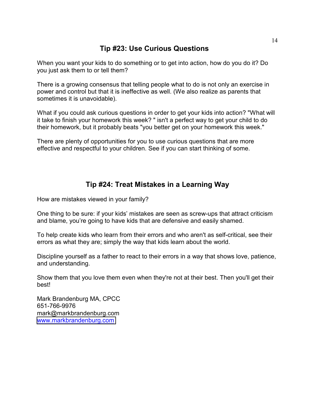#### **Tip #23: Use Curious Questions**

When you want your kids to do something or to get into action, how do you do it? Do you just ask them to or tell them?

There is a growing consensus that telling people what to do is not only an exercise in power and control but that it is ineffective as well. (We also realize as parents that sometimes it is unavoidable).

What if you could ask curious questions in order to get your kids into action? "What will it take to finish your homework this week? " isn't a perfect way to get your child to do their homework, but it probably beats "you better get on your homework this week."

There are plenty of opportunities for you to use curious questions that are more effective and respectful to your children. See if you can start thinking of some.

#### **Tip #24: Treat Mistakes in a Learning Way**

How are mistakes viewed in your family?

One thing to be sure: if your kids' mistakes are seen as screw-ups that attract criticism and blame, you're going to have kids that are defensive and easily shamed.

To help create kids who learn from their errors and who aren't as self-critical, see their errors as what they are; simply the way that kids learn about the world.

Discipline yourself as a father to react to their errors in a way that shows love, patience, and understanding.

Show them that you love them even when they're not at their best. Then you'll get their best!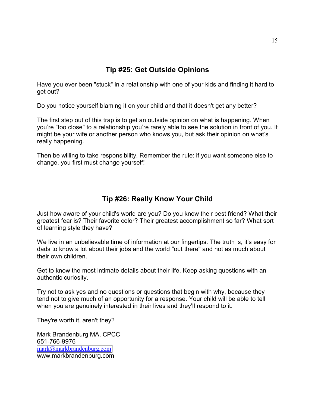#### **Tip #25: Get Outside Opinions**

Have you ever been "stuck" in a relationship with one of your kids and finding it hard to get out?

Do you notice yourself blaming it on your child and that it doesn't get any better?

The first step out of this trap is to get an outside opinion on what is happening. When you're "too close" to a relationship you're rarely able to see the solution in front of you. It might be your wife or another person who knows you, but ask their opinion on what's really happening.

Then be willing to take responsibility. Remember the rule: if you want someone else to change, you first must change yourself!

#### **Tip #26: Really Know Your Child**

Just how aware of your child's world are you? Do you know their best friend? What their greatest fear is? Their favorite color? Their greatest accomplishment so far? What sort of learning style they have?

We live in an unbelievable time of information at our fingertips. The truth is, it's easy for dads to know a lot about their jobs and the world "out there" and not as much about their own children.

Get to know the most intimate details about their life. Keep asking questions with an authentic curiosity.

Try not to ask yes and no questions or questions that begin with why, because they tend not to give much of an opportunity for a response. Your child will be able to tell when you are genuinely interested in their lives and they'll respond to it.

They're worth it, aren't they?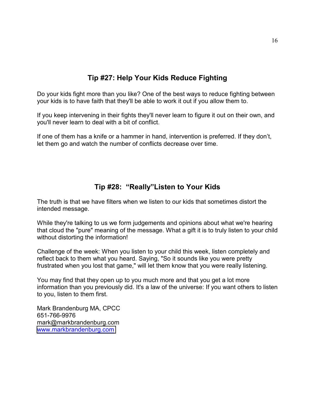#### **Tip #27: Help Your Kids Reduce Fighting**

Do your kids fight more than you like? One of the best ways to reduce fighting between your kids is to have faith that they'll be able to work it out if you allow them to.

If you keep intervening in their fights they'll never learn to figure it out on their own, and you'll never learn to deal with a bit of conflict.

If one of them has a knife or a hammer in hand, intervention is preferred. If they don't, let them go and watch the number of conflicts decrease over time.

#### **Tip #28: "Really"Listen to Your Kids**

The truth is that we have filters when we listen to our kids that sometimes distort the intended message.

While they're talking to us we form judgements and opinions about what we're hearing that cloud the "pure" meaning of the message. What a gift it is to truly listen to your child without distorting the information!

Challenge of the week: When you listen to your child this week, listen completely and reflect back to them what you heard. Saying, "So it sounds like you were pretty frustrated when you lost that game," will let them know that you were really listening.

You may find that they open up to you much more and that you get a lot more information than you previously did. It's a law of the universe: If you want others to listen to you, listen to them first.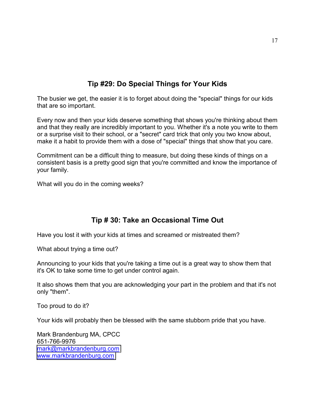#### **Tip #29: Do Special Things for Your Kids**

The busier we get, the easier it is to forget about doing the "special" things for our kids that are so important.

Every now and then your kids deserve something that shows you're thinking about them and that they really are incredibly important to you. Whether it's a note you write to them or a surprise visit to their school, or a "secret" card trick that only you two know about, make it a habit to provide them with a dose of "special" things that show that you care.

Commitment can be a difficult thing to measure, but doing these kinds of things on a consistent basis is a pretty good sign that you're committed and know the importance of your family.

What will you do in the coming weeks?

#### **Tip # 30: Take an Occasional Time Out**

Have you lost it with your kids at times and screamed or mistreated them?

What about trying a time out?

Announcing to your kids that you're taking a time out is a great way to show them that it's OK to take some time to get under control again.

It also shows them that you are acknowledging your part in the problem and that it's not only "them".

Too proud to do it?

Your kids will probably then be blessed with the same stubborn pride that you have.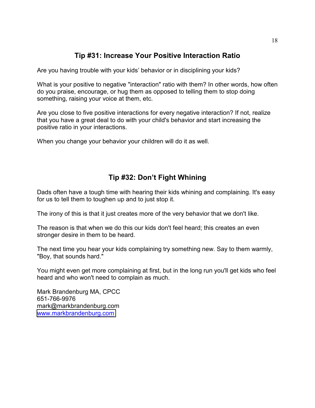#### **Tip #31: Increase Your Positive Interaction Ratio**

Are you having trouble with your kids' behavior or in disciplining your kids?

What is your positive to negative "interaction" ratio with them? In other words, how often do you praise, encourage, or hug them as opposed to telling them to stop doing something, raising your voice at them, etc.

Are you close to five positive interactions for every negative interaction? If not, realize that you have a great deal to do with your child's behavior and start increasing the positive ratio in your interactions.

When you change your behavior your children will do it as well.

#### **Tip #32: Don't Fight Whining**

Dads often have a tough time with hearing their kids whining and complaining. It's easy for us to tell them to toughen up and to just stop it.

The irony of this is that it just creates more of the very behavior that we don't like.

The reason is that when we do this our kids don't feel heard; this creates an even stronger desire in them to be heard.

The next time you hear your kids complaining try something new. Say to them warmly, "Boy, that sounds hard."

You might even get more complaining at first, but in the long run you'll get kids who feel heard and who won't need to complain as much.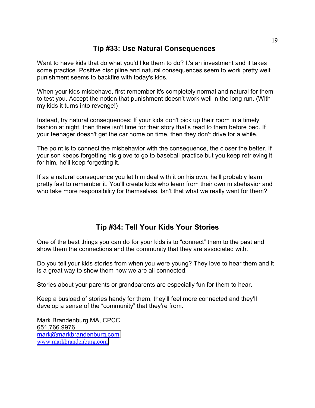#### **Tip #33: Use Natural Consequences**

Want to have kids that do what you'd like them to do? It's an investment and it takes some practice. Positive discipline and natural consequences seem to work pretty well; punishment seems to backfire with today's kids.

When your kids misbehave, first remember it's completely normal and natural for them to test you. Accept the notion that punishment doesn't work well in the long run. (With my kids it turns into revenge!)

Instead, try natural consequences: If your kids don't pick up their room in a timely fashion at night, then there isn't time for their story that's read to them before bed. If your teenager doesn't get the car home on time, then they don't drive for a while.

The point is to connect the misbehavior with the consequence, the closer the better. If your son keeps forgetting his glove to go to baseball practice but you keep retrieving it for him, he'll keep forgetting it.

If as a natural consequence you let him deal with it on his own, he'll probably learn pretty fast to remember it. You'll create kids who learn from their own misbehavior and who take more responsibility for themselves. Isn't that what we really want for them?

#### **Tip #34: Tell Your Kids Your Stories**

One of the best things you can do for your kids is to "connect" them to the past and show them the connections and the community that they are associated with.

Do you tell your kids stories from when you were young? They love to hear them and it is a great way to show them how we are all connected.

Stories about your parents or grandparents are especially fun for them to hear.

Keep a busload of stories handy for them, they'll feel more connected and they'll develop a sense of the "community" that they're from.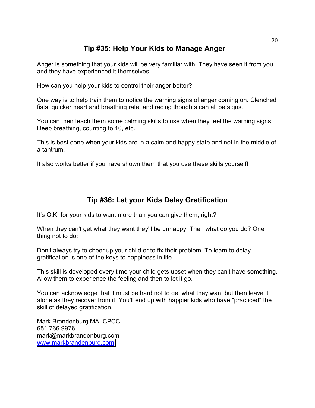#### **Tip #35: Help Your Kids to Manage Anger**

Anger is something that your kids will be very familiar with. They have seen it from you and they have experienced it themselves.

How can you help your kids to control their anger better?

One way is to help train them to notice the warning signs of anger coming on. Clenched fists, quicker heart and breathing rate, and racing thoughts can all be signs.

You can then teach them some calming skills to use when they feel the warning signs: Deep breathing, counting to 10, etc.

This is best done when your kids are in a calm and happy state and not in the middle of a tantrum.

It also works better if you have shown them that you use these skills yourself!

#### **Tip #36: Let your Kids Delay Gratification**

It's O.K. for your kids to want more than you can give them, right?

When they can't get what they want they'll be unhappy. Then what do you do? One thing not to do:

Don't always try to cheer up your child or to fix their problem. To learn to delay gratification is one of the keys to happiness in life.

This skill is developed every time your child gets upset when they can't have something. Allow them to experience the feeling and then to let it go.

You can acknowledge that it must be hard not to get what they want but then leave it alone as they recover from it. You'll end up with happier kids who have "practiced" the skill of delayed gratification.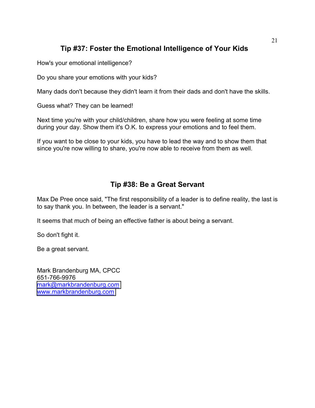#### **Tip #37: Foster the Emotional Intelligence of Your Kids**

How's your emotional intelligence?

Do you share your emotions with your kids?

Many dads don't because they didn't learn it from their dads and don't have the skills.

Guess what? They can be learned!

Next time you're with your child/children, share how you were feeling at some time during your day. Show them it's O.K. to express your emotions and to feel them.

If you want to be close to your kids, you have to lead the way and to show them that since you're now willing to share, you're now able to receive from them as well.

#### **Tip #38: Be a Great Servant**

Max De Pree once said, "The first responsibility of a leader is to define reality, the last is to say thank you. In between, the leader is a servant."

It seems that much of being an effective father is about being a servant.

So don't fight it.

Be a great servant.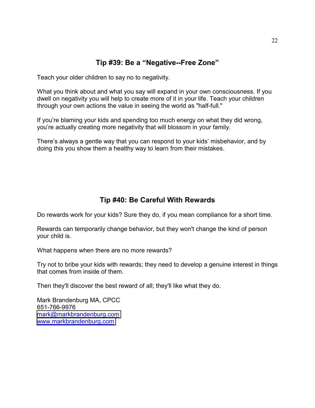#### **Tip #39: Be a "Negative--Free Zone"**

Teach your older children to say no to negativity.

What you think about and what you say will expand in your own consciousness. If you dwell on negativity you will help to create more of it in your life. Teach your children through your own actions the value in seeing the world as "half-full."

If you're blaming your kids and spending too much energy on what they did wrong, you're actually creating more negativity that will blossom in your family.

There's always a gentle way that you can respond to your kids' misbehavior, and by doing this you show them a healthy way to learn from their mistakes.

#### **Tip #40: Be Careful With Rewards**

Do rewards work for your kids? Sure they do, if you mean compliance for a short time.

Rewards can temporarily change behavior, but they won't change the kind of person your child is.

What happens when there are no more rewards?

Try not to bribe your kids with rewards; they need to develop a genuine interest in things that comes from inside of them.

Then they'll discover the best reward of all; they'll like what they do.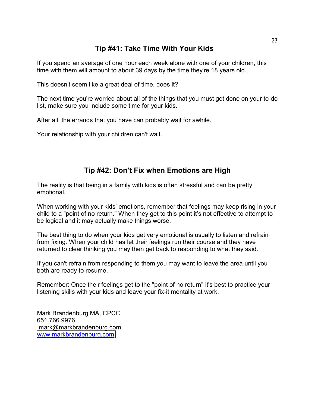#### **Tip #41: Take Time With Your Kids**

If you spend an average of one hour each week alone with one of your children, this time with them will amount to about 39 days by the time they're 18 years old.

This doesn't seem like a great deal of time, does it?

The next time you're worried about all of the things that you must get done on your to-do list, make sure you include some time for your kids.

After all, the errands that you have can probably wait for awhile.

Your relationship with your children can't wait.

#### **Tip #42: Don't Fix when Emotions are High**

The reality is that being in a family with kids is often stressful and can be pretty emotional.

When working with your kids' emotions, remember that feelings may keep rising in your child to a "point of no return." When they get to this point it's not effective to attempt to be logical and it may actually make things worse.

The best thing to do when your kids get very emotional is usually to listen and refrain from fixing. When your child has let their feelings run their course and they have returned to clear thinking you may then get back to responding to what they said.

If you can't refrain from responding to them you may want to leave the area until you both are ready to resume.

Remember: Once their feelings get to the "point of no return" it's best to practice your listening skills with your kids and leave your fix-it mentality at work.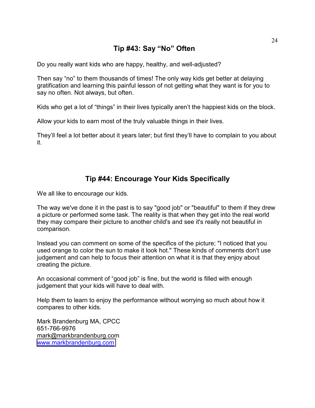#### **Tip #43: Say "No" Often**

Do you really want kids who are happy, healthy, and well-adjusted?

Then say "no" to them thousands of times! The only way kids get better at delaying gratification and learning this painful lesson of not getting what they want is for you to say no often. Not always, but often.

Kids who get a lot of "things" in their lives typically aren't the happiest kids on the block.

Allow your kids to earn most of the truly valuable things in their lives.

They'll feel a lot better about it years later; but first they'll have to complain to you about it.

#### **Tip #44: Encourage Your Kids Specifically**

We all like to encourage our kids.

The way we've done it in the past is to say "good job" or "beautiful" to them if they drew a picture or performed some task. The reality is that when they get into the real world they may compare their picture to another child's and see it's really not beautiful in comparison.

Instead you can comment on some of the specifics of the picture; "I noticed that you used orange to color the sun to make it look hot." These kinds of comments don't use judgement and can help to focus their attention on what it is that they enjoy about creating the picture.

An occasional comment of "good job" is fine, but the world is filled with enough judgement that your kids will have to deal with.

Help them to learn to enjoy the performance without worrying so much about how it compares to other kids.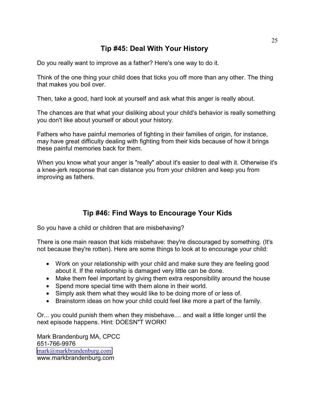#### **Tip #45: Deal With Your History**

Do you really want to improve as a father? Here's one way to do it.

Think of the one thing your child does that ticks you off more than any other. The thing that makes you boil over.

Then, take a good, hard look at yourself and ask what this anger is really about.

The chances are that what your disliking about your child's behavior is really something you don't like about yourself or about your history.

Fathers who have painful memories of fighting in their families of origin, for instance, may have great difficulty dealing with fighting from their kids because of how it brings these painful memories back for them.

When you know what your anger is "really" about it's easier to deal with it. Otherwise it's a knee-jerk response that can distance you from your children and keep you from improving as fathers.

#### **Tip #46: Find Ways to Encourage Your Kids**

So you have a child or children that are misbehaving?

There is one main reason that kids misbehave: they're discouraged by something. (It's not because they're rotten). Here are some things to look at to encourage your child:

- Work on your relationship with your child and make sure they are feeling good about it. If the relationship is damaged very little can be done.
- Make them feel important by giving them extra responsibility around the house
- Spend more special time with them alone in their world.
- Simply ask them what they would like to be doing more of or less of.
- Brainstorm ideas on how your child could feel like more a part of the family.

Or... you could punish them when they misbehave.... and wait a little longer until the next episode happens. Hint: DOESN"T WORK!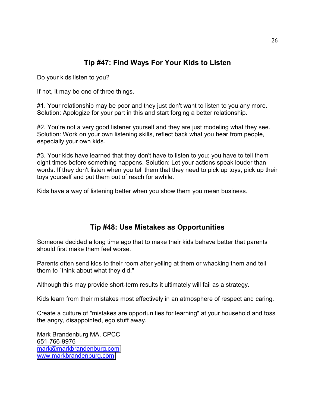#### **Tip #47: Find Ways For Your Kids to Listen**

Do your kids listen to you?

If not, it may be one of three things.

#1. Your relationship may be poor and they just don't want to listen to you any more. Solution: Apologize for your part in this and start forging a better relationship.

#2. You're not a very good listener yourself and they are just modeling what they see. Solution: Work on your own listening skills, reflect back what you hear from people, especially your own kids.

#3. Your kids have learned that they don't have to listen to you; you have to tell them eight times before something happens. Solution: Let your actions speak louder than words. If they don't listen when you tell them that they need to pick up toys, pick up their toys yourself and put them out of reach for awhile.

Kids have a way of listening better when you show them you mean business.

#### **Tip #48: Use Mistakes as Opportunities**

Someone decided a long time ago that to make their kids behave better that parents should first make them feel worse.

Parents often send kids to their room after yelling at them or whacking them and tell them to "think about what they did."

Although this may provide short-term results it ultimately will fail as a strategy.

Kids learn from their mistakes most effectively in an atmosphere of respect and caring.

Create a culture of "mistakes are opportunities for learning" at your household and toss the angry, disappointed, ego stuff away.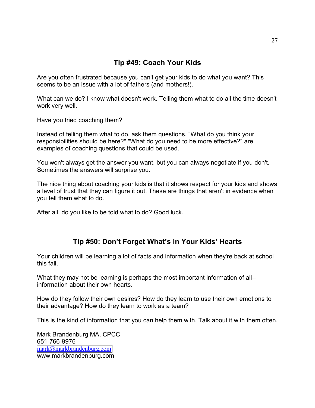#### **Tip #49: Coach Your Kids**

Are you often frustrated because you can't get your kids to do what you want? This seems to be an issue with a lot of fathers (and mothers!).

What can we do? I know what doesn't work. Telling them what to do all the time doesn't work very well.

Have you tried coaching them?

Instead of telling them what to do, ask them questions. "What do you think your responsibilities should be here?" "What do you need to be more effective?" are examples of coaching questions that could be used.

You won't always get the answer you want, but you can always negotiate if you don't. Sometimes the answers will surprise you.

The nice thing about coaching your kids is that it shows respect for your kids and shows a level of trust that they can figure it out. These are things that aren't in evidence when you tell them what to do.

After all, do you like to be told what to do? Good luck.

#### **Tip #50: Don't Forget What's in Your Kids' Hearts**

Your children will be learning a lot of facts and information when they're back at school this fall.

What they may not be learning is perhaps the most important information of all-information about their own hearts.

How do they follow their own desires? How do they learn to use their own emotions to their advantage? How do they learn to work as a team?

This is the kind of information that you can help them with. Talk about it with them often.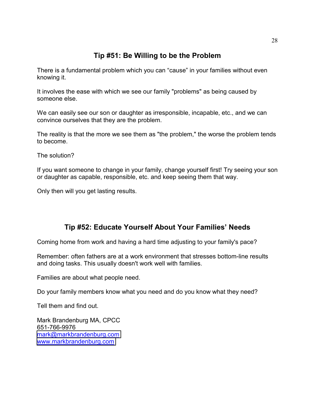#### **Tip #51: Be Willing to be the Problem**

There is a fundamental problem which you can "cause" in your families without even knowing it.

It involves the ease with which we see our family "problems" as being caused by someone else.

We can easily see our son or daughter as irresponsible, incapable, etc., and we can convince ourselves that they are the problem.

The reality is that the more we see them as "the problem," the worse the problem tends to become.

The solution?

If you want someone to change in your family, change yourself first! Try seeing your son or daughter as capable, responsible, etc. and keep seeing them that way.

Only then will you get lasting results.

#### **Tip #52: Educate Yourself About Your Families' Needs**

Coming home from work and having a hard time adjusting to your family's pace?

Remember: often fathers are at a work environment that stresses bottom-line results and doing tasks. This usually doesn't work well with families.

Families are about what people need.

Do your family members know what you need and do you know what they need?

Tell them and find out.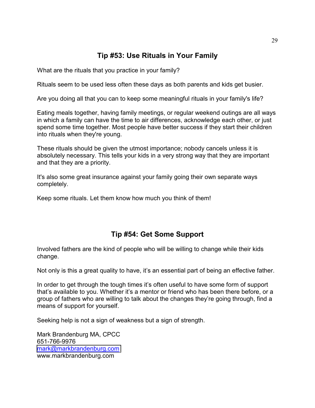#### **Tip #53: Use Rituals in Your Family**

What are the rituals that you practice in your family?

Rituals seem to be used less often these days as both parents and kids get busier.

Are you doing all that you can to keep some meaningful rituals in your family's life?

Eating meals together, having family meetings, or regular weekend outings are all ways in which a family can have the time to air differences, acknowledge each other, or just spend some time together. Most people have better success if they start their children into rituals when they're young.

These rituals should be given the utmost importance; nobody cancels unless it is absolutely necessary. This tells your kids in a very strong way that they are important and that they are a priority.

It's also some great insurance against your family going their own separate ways completely.

Keep some rituals. Let them know how much you think of them!

#### **Tip #54: Get Some Support**

Involved fathers are the kind of people who will be willing to change while their kids change.

Not only is this a great quality to have, it's an essential part of being an effective father.

In order to get through the tough times it's often useful to have some form of support that's available to you. Whether it's a mentor or friend who has been there before, or a group of fathers who are willing to talk about the changes they're going through, find a means of support for yourself.

Seeking help is not a sign of weakness but a sign of strength.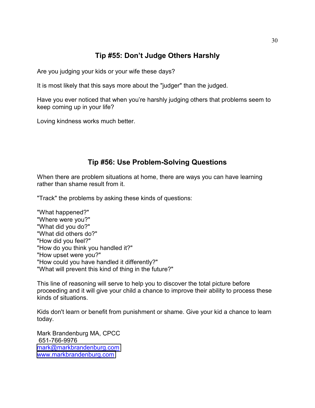#### **Tip #55: Don't Judge Others Harshly**

Are you judging your kids or your wife these days?

It is most likely that this says more about the "judger" than the judged.

Have you ever noticed that when you're harshly judging others that problems seem to keep coming up in your life?

Loving kindness works much better.

#### **Tip #56: Use Problem-Solving Questions**

When there are problem situations at home, there are ways you can have learning rather than shame result from it.

"Track" the problems by asking these kinds of questions:

"What happened?" "Where were you?" "What did you do?" "What did others do?" "How did you feel?" "How do you think you handled it?" "How upset were you?" "How could you have handled it differently?" "What will prevent this kind of thing in the future?"

This line of reasoning will serve to help you to discover the total picture before proceeding and it will give your child a chance to improve their ability to process these kinds of situations.

Kids don't learn or benefit from punishment or shame. Give your kid a chance to learn today.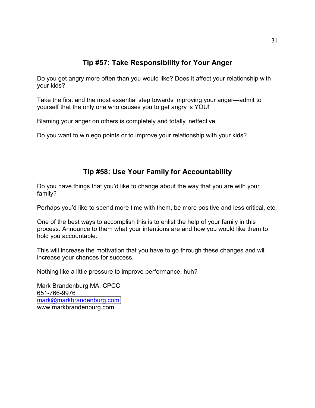#### **Tip #57: Take Responsibility for Your Anger**

Do you get angry more often than you would like? Does it affect your relationship with your kids?

Take the first and the most essential step towards improving your anger—admit to yourself that the only one who causes you to get angry is YOU!

Blaming your anger on others is completely and totally ineffective.

Do you want to win ego points or to improve your relationship with your kids?

#### **Tip #58: Use Your Family for Accountability**

Do you have things that you'd like to change about the way that you are with your family?

Perhaps you'd like to spend more time with them, be more positive and less critical, etc.

One of the best ways to accomplish this is to enlist the help of your family in this process. Announce to them what your intentions are and how you would like them to hold you accountable.

This will increase the motivation that you have to go through these changes and will increase your chances for success.

Nothing like a little pressure to improve performance, huh?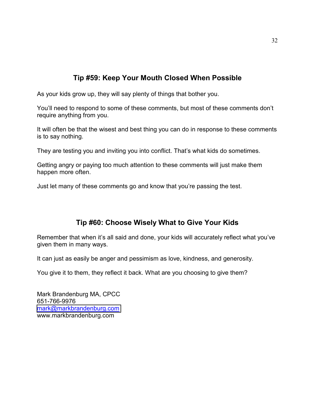#### **Tip #59: Keep Your Mouth Closed When Possible**

As your kids grow up, they will say plenty of things that bother you.

You'll need to respond to some of these comments, but most of these comments don't require anything from you.

It will often be that the wisest and best thing you can do in response to these comments is to say nothing.

They are testing you and inviting you into conflict. That's what kids do sometimes.

Getting angry or paying too much attention to these comments will just make them happen more often.

Just let many of these comments go and know that you're passing the test.

#### **Tip #60: Choose Wisely What to Give Your Kids**

Remember that when it's all said and done, your kids will accurately reflect what you've given them in many ways.

It can just as easily be anger and pessimism as love, kindness, and generosity.

You give it to them, they reflect it back. What are you choosing to give them?